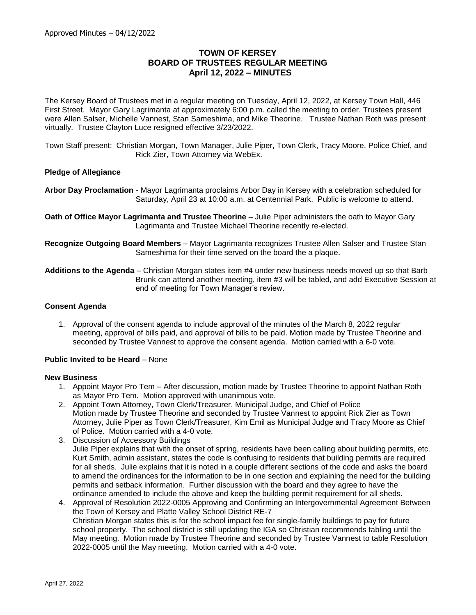# **TOWN OF KERSEY BOARD OF TRUSTEES REGULAR MEETING April 12, 2022 – MINUTES**

The Kersey Board of Trustees met in a regular meeting on Tuesday, April 12, 2022, at Kersey Town Hall, 446 First Street. Mayor Gary Lagrimanta at approximately 6:00 p.m. called the meeting to order. Trustees present were Allen Salser, Michelle Vannest, Stan Sameshima, and Mike Theorine. Trustee Nathan Roth was present virtually. Trustee Clayton Luce resigned effective 3/23/2022.

Town Staff present: Christian Morgan, Town Manager, Julie Piper, Town Clerk, Tracy Moore, Police Chief, and Rick Zier, Town Attorney via WebEx.

### **Pledge of Allegiance**

**Arbor Day Proclamation** - Mayor Lagrimanta proclaims Arbor Day in Kersey with a celebration scheduled for Saturday, April 23 at 10:00 a.m. at Centennial Park. Public is welcome to attend.

**Oath of Office Mayor Lagrimanta and Trustee Theorine** – Julie Piper administers the oath to Mayor Gary Lagrimanta and Trustee Michael Theorine recently re-elected.

**Recognize Outgoing Board Members** – Mayor Lagrimanta recognizes Trustee Allen Salser and Trustee Stan Sameshima for their time served on the board the a plaque.

**Additions to the Agenda** – Christian Morgan states item #4 under new business needs moved up so that Barb Brunk can attend another meeting, item #3 will be tabled, and add Executive Session at end of meeting for Town Manager's review.

#### **Consent Agenda**

1. Approval of the consent agenda to include approval of the minutes of the March 8, 2022 regular meeting, approval of bills paid, and approval of bills to be paid. Motion made by Trustee Theorine and seconded by Trustee Vannest to approve the consent agenda. Motion carried with a 6-0 vote.

### **Public Invited to be Heard** – None

#### **New Business**

- 1. Appoint Mayor Pro Tem After discussion, motion made by Trustee Theorine to appoint Nathan Roth as Mayor Pro Tem. Motion approved with unanimous vote.
- 2. Appoint Town Attorney, Town Clerk/Treasurer, Municipal Judge, and Chief of Police Motion made by Trustee Theorine and seconded by Trustee Vannest to appoint Rick Zier as Town Attorney, Julie Piper as Town Clerk/Treasurer, Kim Emil as Municipal Judge and Tracy Moore as Chief of Police. Motion carried with a 4-0 vote.
- 3. Discussion of Accessory Buildings Julie Piper explains that with the onset of spring, residents have been calling about building permits, etc. Kurt Smith, admin assistant, states the code is confusing to residents that building permits are required for all sheds. Julie explains that it is noted in a couple different sections of the code and asks the board to amend the ordinances for the information to be in one section and explaining the need for the building permits and setback information. Further discussion with the board and they agree to have the ordinance amended to include the above and keep the building permit requirement for all sheds.
- 4. Approval of Resolution 2022-0005 Approving and Confirming an Intergovernmental Agreement Between the Town of Kersey and Platte Valley School District RE-7 Christian Morgan states this is for the school impact fee for single-family buildings to pay for future school property. The school district is still updating the IGA so Christian recommends tabling until the May meeting. Motion made by Trustee Theorine and seconded by Trustee Vannest to table Resolution 2022-0005 until the May meeting. Motion carried with a 4-0 vote.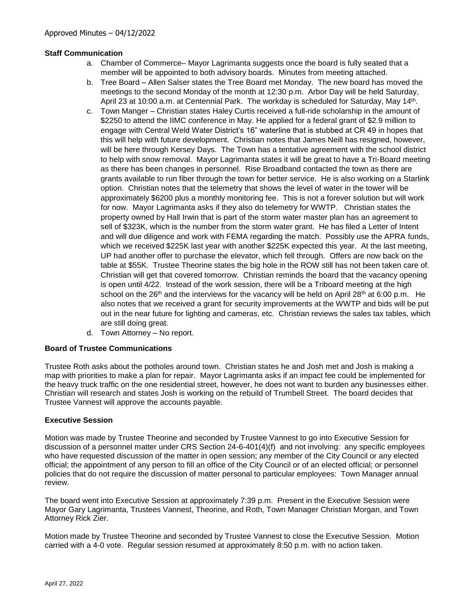## **Staff Communication**

- a. Chamber of Commerce– Mayor Lagrimanta suggests once the board is fully seated that a member will be appointed to both advisory boards. Minutes from meeting attached.
- b. Tree Board Allen Salser states the Tree Board met Monday. The new board has moved the meetings to the second Monday of the month at 12:30 p.m. Arbor Day will be held Saturday, April 23 at 10:00 a.m. at Centennial Park. The workday is scheduled for Saturday, May 14<sup>th</sup>.
- c. Town Manger Christian states Haley Curtis received a full-ride scholarship in the amount of \$2250 to attend the IIMC conference in May. He applied for a federal grant of \$2.9 million to engage with Central Weld Water District's 16" waterline that is stubbed at CR 49 in hopes that this will help with future development. Christian notes that James Neill has resigned, however, will be here through Kersey Days. The Town has a tentative agreement with the school district to help with snow removal. Mayor Lagrimanta states it will be great to have a Tri-Board meeting as there has been changes in personnel. Rise Broadband contacted the town as there are grants available to run fiber through the town for better service. He is also working on a Starlink option. Christian notes that the telemetry that shows the level of water in the tower will be approximately \$6200 plus a monthly monitoring fee. This is not a forever solution but will work for now. Mayor Lagrimanta asks if they also do telemetry for WWTP. Christian states the property owned by Hall Irwin that is part of the storm water master plan has an agreement to sell of \$323K, which is the number from the storm water grant. He has filed a Letter of Intent and will due diligence and work with FEMA regarding the match. Possibly use the APRA funds, which we received \$225K last year with another \$225K expected this year. At the last meeting, UP had another offer to purchase the elevator, which fell through. Offers are now back on the table at \$55K. Trustee Theorine states the big hole in the ROW still has not been taken care of. Christian will get that covered tomorrow. Christian reminds the board that the vacancy opening is open until 4/22. Instead of the work session, there will be a Triboard meeting at the high school on the 26<sup>th</sup> and the interviews for the vacancy will be held on April 28<sup>th</sup> at 6:00 p.m. He also notes that we received a grant for security improvements at the WWTP and bids will be put out in the near future for lighting and cameras, etc. Christian reviews the sales tax tables, which are still doing great.
- d. Town Attorney No report.

## **Board of Trustee Communications**

Trustee Roth asks about the potholes around town. Christian states he and Josh met and Josh is making a map with priorities to make a plan for repair. Mayor Lagrimanta asks if an impact fee could be implemented for the heavy truck traffic on the one residential street, however, he does not want to burden any businesses either. Christian will research and states Josh is working on the rebuild of Trumbell Street. The board decides that Trustee Vannest will approve the accounts payable.

## **Executive Session**

Motion was made by Trustee Theorine and seconded by Trustee Vannest to go into Executive Session for discussion of a personnel matter under CRS Section 24-6-401(4)(f) and not involving: any specific employees who have requested discussion of the matter in open session; any member of the City Council or any elected official; the appointment of any person to fill an office of the City Council or of an elected official; or personnel policies that do not require the discussion of matter personal to particular employees: Town Manager annual review.

The board went into Executive Session at approximately 7:39 p.m. Present in the Executive Session were Mayor Gary Lagrimanta, Trustees Vannest, Theorine, and Roth, Town Manager Christian Morgan, and Town Attorney Rick Zier.

Motion made by Trustee Theorine and seconded by Trustee Vannest to close the Executive Session. Motion carried with a 4-0 vote. Regular session resumed at approximately 8:50 p.m. with no action taken.